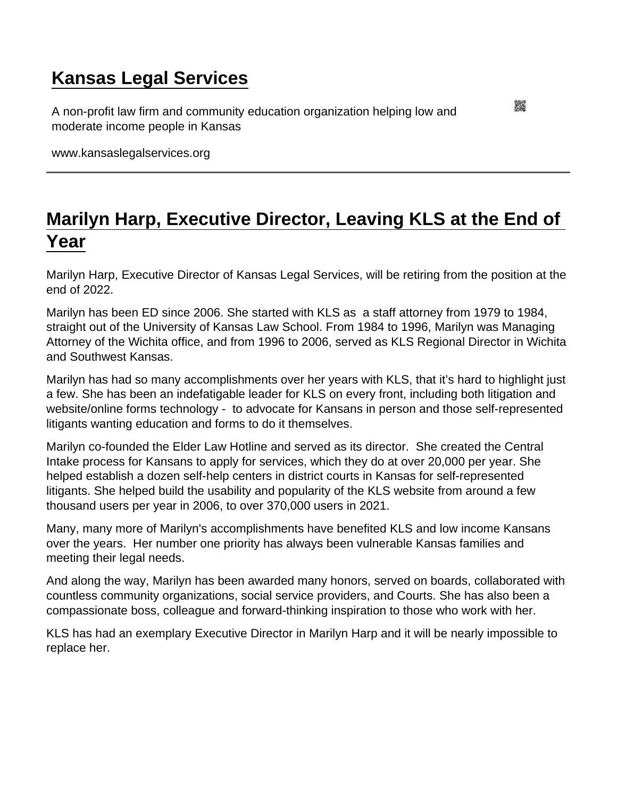## [Kansas Legal Services](https://www.kansaslegalservices.org/)

A non-profit law firm and community education organization helping low and moderate income people in Kansas

www.kansaslegalservices.org

## [Marilyn Harp, Executive Director, Leaving KLS at the End of](https://www.kansaslegalservices.org/node/2518/marilyn-harp-executive-director-leaving-kls-end-year)  [Year](https://www.kansaslegalservices.org/node/2518/marilyn-harp-executive-director-leaving-kls-end-year)

Marilyn Harp, Executive Director of Kansas Legal Services, will be retiring from the position at the end of 2022.

Marilyn has been ED since 2006. She started with KLS as a staff attorney from 1979 to 1984, straight out of the University of Kansas Law School. From 1984 to 1996, Marilyn was Managing Attorney of the Wichita office, and from 1996 to 2006, served as KLS Regional Director in Wichita and Southwest Kansas.

Marilyn has had so many accomplishments over her years with KLS, that it's hard to highlight just a few. She has been an indefatigable leader for KLS on every front, including both litigation and website/online forms technology - to advocate for Kansans in person and those self-represented litigants wanting education and forms to do it themselves.

Marilyn co-founded the Elder Law Hotline and served as its director. She created the Central Intake process for Kansans to apply for services, which they do at over 20,000 per year. She helped establish a dozen self-help centers in district courts in Kansas for self-represented litigants. She helped build the usability and popularity of the KLS website from around a few thousand users per year in 2006, to over 370,000 users in 2021.

Many, many more of Marilyn's accomplishments have benefited KLS and low income Kansans over the years. Her number one priority has always been vulnerable Kansas families and meeting their legal needs.

And along the way, Marilyn has been awarded many honors, served on boards, collaborated with countless community organizations, social service providers, and Courts. She has also been a compassionate boss, colleague and forward-thinking inspiration to those who work with her.

KLS has had an exemplary Executive Director in Marilyn Harp and it will be nearly impossible to replace her.